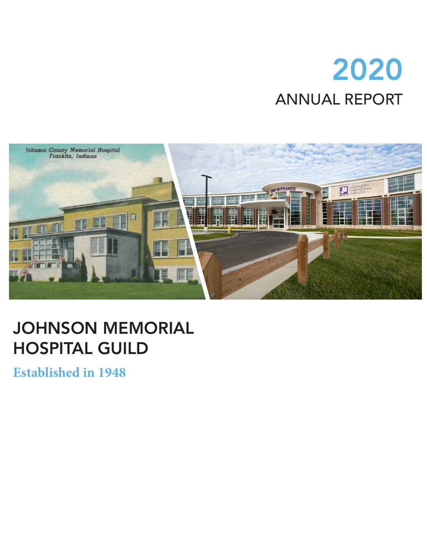# 2020 ANNUAL REPORT



### JOHNSON MEMORIAL HOSPITAL GUILD

**Established in 1948**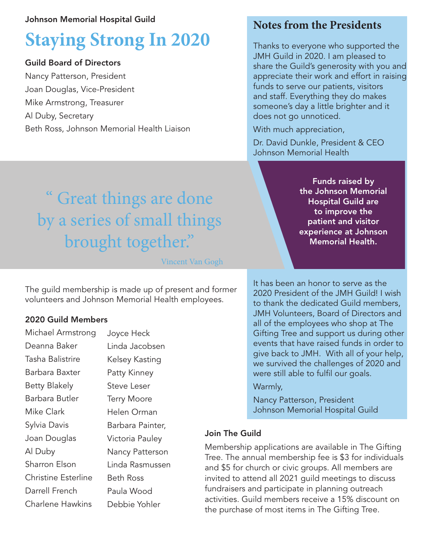#### Johnson Memorial Hospital Guild

## **Staying Strong In 2020**

#### Guild Board of Directors

Nancy Patterson, President Joan Douglas, Vice-President Mike Armstrong, Treasurer Al Duby, Secretary Beth Ross, Johnson Memorial Health Liaison

### **Notes from the Presidents**

Thanks to everyone who supported the JMH Guild in 2020. I am pleased to share the Guild's generosity with you and appreciate their work and effort in raising funds to serve our patients, visitors and staff. Everything they do makes someone's day a little brighter and it does not go unnoticed.

With much appreciation,

Dr. David Dunkle, President & CEO Johnson Memorial Health

> Funds raised by the Johnson Memorial Hospital Guild are to improve the patient and visitor experience at Johnson Memorial Health.

## " Great things are done by a series of small things brought together."

Vincent Van Gogh

The guild membership is made up of present and former volunteers and Johnson Memorial Health employees.

#### 2020 Guild Members

| Michael Armstrong          | Joyce Heck         |
|----------------------------|--------------------|
| Deanna Baker               | Linda Jacobsen     |
| Tasha Balistrire           | Kelsey Kasting     |
| Barbara Baxter             | Patty Kinney       |
| <b>Betty Blakely</b>       | Steve Leser        |
| Barbara Butler             | <b>Terry Moore</b> |
| Mike Clark                 | Helen Orman        |
| Sylvia Davis               | Barbara Painter,   |
| Joan Douglas               | Victoria Pauley    |
| Al Duby                    | Nancy Patterson    |
| <b>Sharron Elson</b>       | Linda Rasmussen    |
| <b>Christine Esterline</b> | Beth Ross          |
| Darrell French             | Paula Wood         |
| Charlene Hawkins           | Debbie Yohler      |
|                            |                    |

It has been an honor to serve as the 2020 President of the JMH Guild! I wish to thank the dedicated Guild members, JMH Volunteers, Board of Directors and all of the employees who shop at The Gifting Tree and support us during other events that have raised funds in order to give back to JMH. With all of your help, we survived the challenges of 2020 and were still able to fulfil our goals.

#### Warmly,

Nancy Patterson, President Johnson Memorial Hospital Guild

#### Join The Guild

Membership applications are available in The Gifting Tree. The annual membership fee is \$3 for individuals and \$5 for church or civic groups. All members are invited to attend all 2021 guild meetings to discuss fundraisers and participate in planning outreach activities. Guild members receive a 15% discount on the purchase of most items in The Gifting Tree.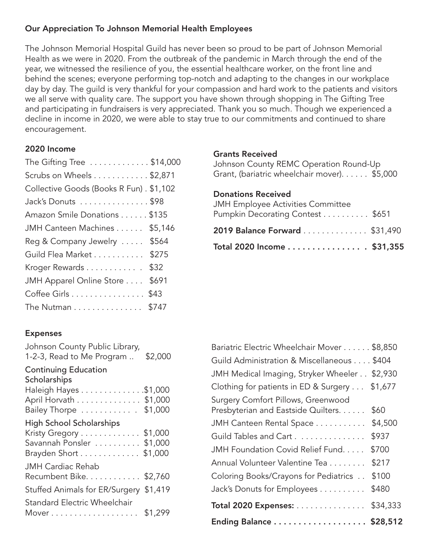#### Our Appreciation To Johnson Memorial Health Employees

The Johnson Memorial Hospital Guild has never been so proud to be part of Johnson Memorial Health as we were in 2020. From the outbreak of the pandemic in March through the end of the year, we witnessed the resilience of you, the essential healthcare worker, on the front line and behind the scenes; everyone performing top-notch and adapting to the changes in our workplace day by day. The guild is very thankful for your compassion and hard work to the patients and visitors we all serve with quality care. The support you have shown through shopping in The Gifting Tree and participating in fundraisers is very appreciated. Thank you so much. Though we experienced a decline in income in 2020, we were able to stay true to our commitments and continued to share encouragement.

#### 2020 Income

| The Gifting Tree \$14,000                    |
|----------------------------------------------|
| Scrubs on Wheels $\dots \dots \dots$ \$2,871 |
| Collective Goods (Books R Fun). \$1,102      |
| Jack's Donuts \$98                           |
| Amazon Smile Donations \$135                 |
| JMH Canteen Machines \$5,146                 |
| Reg & Company Jewelry  \$564                 |
| Guild Flea Market \$275                      |
| Kroger Rewards<br>\$32                       |
| JMH Apparel Online Store<br>\$691            |
| Coffee Girls \$43                            |
| The Nutman \$747                             |

#### Grants Received

| Johnson County REMC Operation Round-Up       |  |
|----------------------------------------------|--|
| Grant, (bariatric wheelchair mover). \$5,000 |  |

#### Donations Received

| Pumpkin Decorating Contest \$651                            |  |
|-------------------------------------------------------------|--|
| 2019 Balance Forward \$31,490<br>Total 2020 Income \$31,355 |  |

#### Expenses

| Johnson County Public Library,<br>1-2-3, Read to Me Program                                                     | \$2,000 |
|-----------------------------------------------------------------------------------------------------------------|---------|
| <b>Continuing Education</b><br>Scholarships<br>Haleigh Hayes \$1,000                                            |         |
| April Horvath \$1,000<br>Bailey Thorpe  \$1,000                                                                 |         |
| <b>High School Scholarships</b><br>Kristy Gregory \$1,000<br>Savannah Ponsler  \$1,000<br>Brayden Short \$1,000 |         |
| <b>JMH Cardiac Rehab</b><br>Recumbent Bike. \$2,760                                                             |         |
| Stuffed Animals for ER/Surgery \$1,419                                                                          |         |
| <b>Standard Electric Wheelchair</b><br>Mover \$1,299                                                            |         |
|                                                                                                                 |         |

| Ending Balance \$28,512                                                   |         |
|---------------------------------------------------------------------------|---------|
| Total 2020 Expenses: \$34,333                                             |         |
| Jack's Donuts for Employees                                               | \$480   |
| Coloring Books/Crayons for Pediatrics                                     | \$100   |
| Annual Volunteer Valentine Tea                                            | \$217   |
| JMH Foundation Covid Relief Fund.                                         | \$700   |
| Guild Tables and Cart                                                     | \$937   |
| JMH Canteen Rental Space                                                  | \$4,500 |
| Surgery Comfort Pillows, Greenwood<br>Presbyterian and Eastside Quilters. | \$60    |
| Clothing for patients in ED & Surgery \$1,677                             |         |
| JMH Medical Imaging, Stryker Wheeler \$2,930                              |         |
| Guild Administration & Miscellaneous \$404                                |         |
| Bariatric Electric Wheelchair Mover \$8,850                               |         |